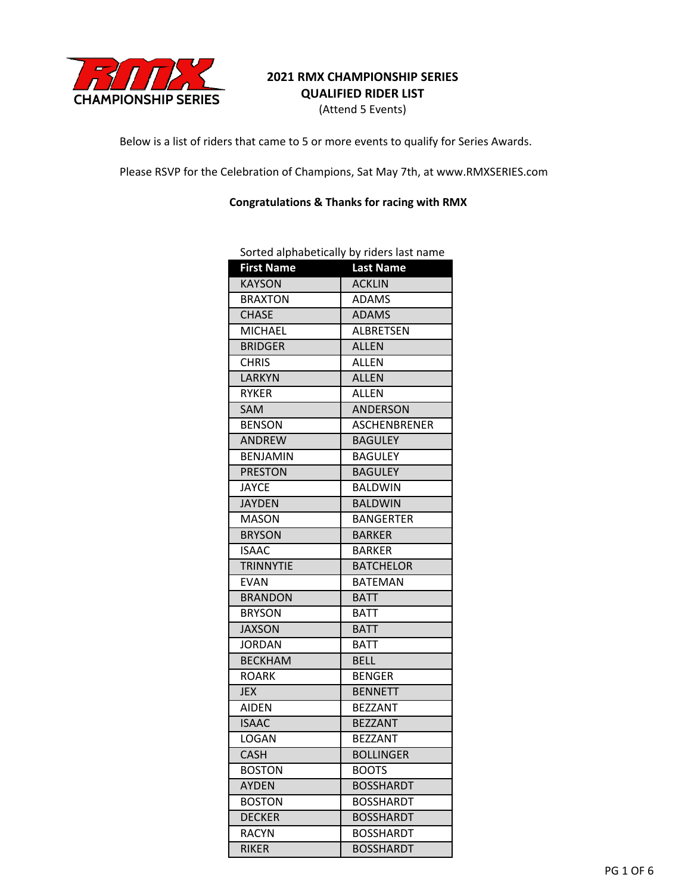

## **2021 RMX CHAMPIONSHIP SERIES QUALIFIED RIDER LIST**

(Attend 5 Events)

Below is a list of riders that came to 5 or more events to qualify for Series Awards.

Please RSVP for the Celebration of Champions, Sat May 7th, at www.RMXSERIES.com

**Congratulations & Thanks for racing with RMX**

|                   | borted alphabetically by Huers last Hamle |
|-------------------|-------------------------------------------|
| <b>First Name</b> | <b>Last Name</b>                          |
| <b>KAYSON</b>     | <b>ACKLIN</b>                             |
| <b>BRAXTON</b>    | <b>ADAMS</b>                              |
| <b>CHASE</b>      | <b>ADAMS</b>                              |
| <b>MICHAEL</b>    | <b>ALBRETSEN</b>                          |
| <b>BRIDGER</b>    | <b>ALLEN</b>                              |
| <b>CHRIS</b>      | <b>ALLEN</b>                              |
| <b>LARKYN</b>     | <b>ALLEN</b>                              |
| <b>RYKER</b>      | <b>ALLEN</b>                              |
| SAM               | ANDERSON                                  |
| <b>BENSON</b>     | ASCHENBRENER                              |
| ANDREW            | <b>BAGULEY</b>                            |
| <b>BENJAMIN</b>   | <b>BAGULEY</b>                            |
| <b>PRESTON</b>    | <b>BAGULEY</b>                            |
| <b>JAYCE</b>      | <b>BALDWIN</b>                            |
| <b>JAYDEN</b>     | <b>BALDWIN</b>                            |
| MASON             | <b>BANGERTER</b>                          |
| <b>BRYSON</b>     | <b>BARKER</b>                             |
| <b>ISAAC</b>      | <b>BARKER</b>                             |
| <b>TRINNYTIE</b>  | <b>BATCHELOR</b>                          |
| <b>EVAN</b>       | <b>BATEMAN</b>                            |
| <b>BRANDON</b>    | <b>BATT</b>                               |
| <b>BRYSON</b>     | <b>BATT</b>                               |
| <b>JAXSON</b>     | <b>BATT</b>                               |
| <b>JORDAN</b>     | <b>BATT</b>                               |
| <b>BECKHAM</b>    | <b>BELL</b>                               |
| <b>ROARK</b>      | <b>BENGER</b>                             |
| <b>JEX</b>        | <b>BENNETT</b>                            |
| <b>AIDEN</b>      | <b>BEZZANT</b>                            |
| <b>ISAAC</b>      | <b>BEZZANT</b>                            |
| LOGAN             | <b>BEZZANT</b>                            |
| <b>CASH</b>       | <b>BOLLINGER</b>                          |
| <b>BOSTON</b>     | <b>BOOTS</b>                              |
| <b>AYDEN</b>      | <b>BOSSHARDT</b>                          |
| <b>BOSTON</b>     | <b>BOSSHARDT</b>                          |
| <b>DECKER</b>     | <b>BOSSHARDT</b>                          |
| <b>RACYN</b>      | <b>BOSSHARDT</b>                          |
| <b>RIKER</b>      | <b>BOSSHARDT</b>                          |

Sorted alphabetically by riders last name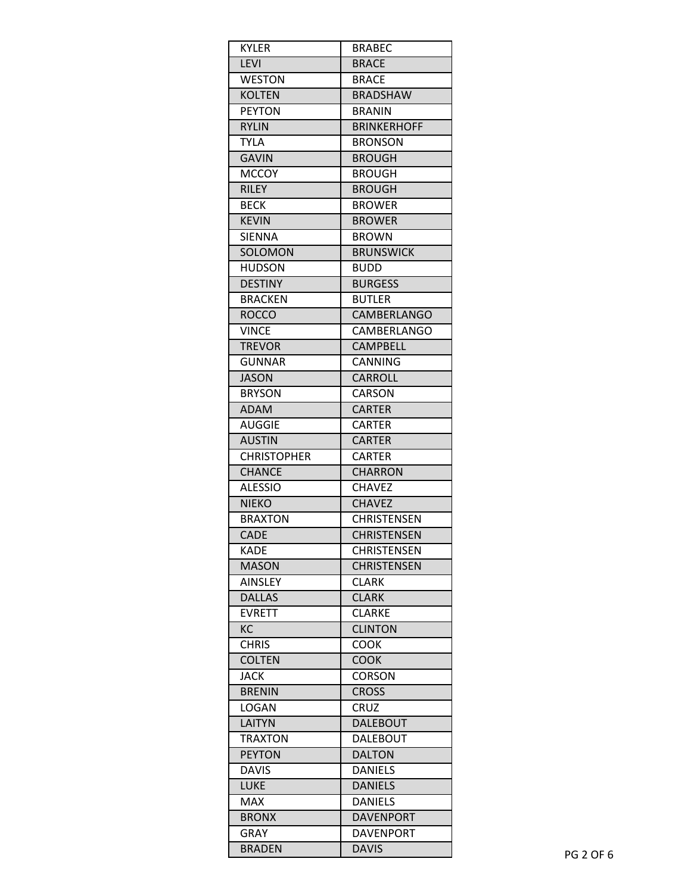| <b>KYLER</b>       | BRABEC             |
|--------------------|--------------------|
| <b>LEVI</b>        | <b>BRACE</b>       |
| <b>WESTON</b>      | <b>BRACE</b>       |
| <b>KOLTEN</b>      | <b>BRADSHAW</b>    |
| <b>PEYTON</b>      | <b>BRANIN</b>      |
| <b>RYLIN</b>       | <b>BRINKERHOFF</b> |
| <b>TYLA</b>        | <b>BRONSON</b>     |
| <b>GAVIN</b>       | <b>BROUGH</b>      |
| <b>MCCOY</b>       | <b>BROUGH</b>      |
| <b>RILEY</b>       | <b>BROUGH</b>      |
| <b>BECK</b>        | <b>BROWER</b>      |
| <b>KEVIN</b>       | <b>BROWER</b>      |
| <b>SIENNA</b>      | <b>BROWN</b>       |
| SOLOMON            | <b>BRUNSWICK</b>   |
| <b>HUDSON</b>      | <b>BUDD</b>        |
| <b>DESTINY</b>     | <b>BURGESS</b>     |
| <b>BRACKEN</b>     | <b>BUTLER</b>      |
| <b>ROCCO</b>       | <b>CAMBERLANGO</b> |
| <b>VINCE</b>       | CAMBERLANGO        |
| <b>TREVOR</b>      | <b>CAMPBELL</b>    |
| <b>GUNNAR</b>      | CANNING            |
| <b>JASON</b>       | <b>CARROLL</b>     |
| <b>BRYSON</b>      | CARSON             |
| <b>ADAM</b>        | <b>CARTER</b>      |
| AUGGIE             | <b>CARTER</b>      |
| <b>AUSTIN</b>      | <b>CARTER</b>      |
| <b>CHRISTOPHER</b> | <b>CARTER</b>      |
| <b>CHANCE</b>      | CHARRON            |
| <b>ALESSIO</b>     | <b>CHAVEZ</b>      |
| <b>NIEKO</b>       | <b>CHAVEZ</b>      |
| <b>BRAXTON</b>     | <b>CHRISTENSEN</b> |
| CADE               | <b>CHRISTENSEN</b> |
| <b>KADE</b>        | <b>CHRISTENSEN</b> |
| <b>MASON</b>       | <b>CHRISTENSEN</b> |
| <b>AINSLEY</b>     | <b>CLARK</b>       |
| <b>DALLAS</b>      | <b>CLARK</b>       |
| <b>EVRETT</b>      | <b>CLARKE</b>      |
| KC                 | <b>CLINTON</b>     |
| <b>CHRIS</b>       | COOK               |
| <b>COLTEN</b>      | <b>COOK</b>        |
| JACK               | <b>CORSON</b>      |
| <b>BRENIN</b>      | <b>CROSS</b>       |
| <b>LOGAN</b>       | CRUZ               |
| LAITYN             | <b>DALEBOUT</b>    |
| <b>TRAXTON</b>     | <b>DALEBOUT</b>    |
| <b>PEYTON</b>      | <b>DALTON</b>      |
| <b>DAVIS</b>       | <b>DANIELS</b>     |
| <b>LUKE</b>        | <b>DANIELS</b>     |
| MAX                | <b>DANIELS</b>     |
| <b>BRONX</b>       | <b>DAVENPORT</b>   |
| <b>GRAY</b>        | <b>DAVENPORT</b>   |
| <b>BRADEN</b>      | <b>DAVIS</b>       |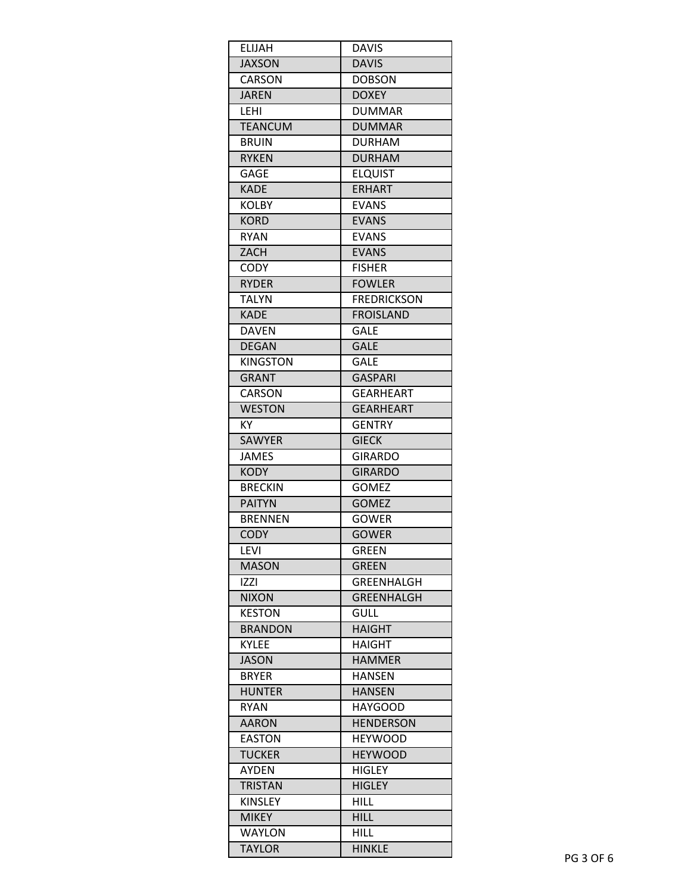| ELIJAH          | <b>DAVIS</b>                     |
|-----------------|----------------------------------|
| <b>JAXSON</b>   | <b>DAVIS</b>                     |
| CARSON          | <b>DOBSON</b>                    |
| <b>JAREN</b>    | <b>DOXEY</b>                     |
| LEHI            | <b>DUMMAR</b>                    |
| <b>TEANCUM</b>  | <b>DUMMAR</b>                    |
| <b>BRUIN</b>    | <b>DURHAM</b>                    |
| <b>RYKEN</b>    | <b>DURHAM</b>                    |
| <b>GAGE</b>     | <b>ELQUIST</b>                   |
| <b>KADE</b>     | <b>ERHART</b>                    |
| <b>KOLBY</b>    | <b>EVANS</b>                     |
| <b>KORD</b>     | <b>EVANS</b>                     |
| <b>RYAN</b>     | <b>EVANS</b>                     |
| ZACH            | <b>EVANS</b>                     |
| <b>CODY</b>     | <b>FISHER</b>                    |
| <b>RYDER</b>    | <b>FOWLER</b>                    |
| <b>TALYN</b>    | <b>FREDRICKSON</b>               |
| <b>KADE</b>     | <b>FROISLAND</b>                 |
| <b>DAVEN</b>    | <b>GALE</b>                      |
| <b>DEGAN</b>    | <b>GALE</b>                      |
| <b>KINGSTON</b> | GALE                             |
| <b>GRANT</b>    | <b>GASPARI</b>                   |
| <b>CARSON</b>   | GEARHEART                        |
| <b>WESTON</b>   | <b>GEARHEART</b>                 |
| KY              | <b>GENTRY</b>                    |
| <b>SAWYER</b>   | <b>GIECK</b>                     |
| <b>JAMES</b>    | <b>GIRARDO</b>                   |
| <b>KODY</b>     | <b>GIRARDO</b>                   |
| <b>BRECKIN</b>  | GOMEZ                            |
| <b>PAITYN</b>   | <b>GOMEZ</b>                     |
| <b>BRENNEN</b>  | <b>GOWER</b>                     |
| <b>CODY</b>     | <b>GOWER</b>                     |
| LEVI            | <b>GREEN</b>                     |
| <b>MASON</b>    | <b>GREEN</b>                     |
|                 |                                  |
| IZZI            | <b>GREENHALGH</b>                |
| <b>NIXON</b>    | <b>GREENHALGH</b><br><b>GULL</b> |
| <b>KESTON</b>   | <b>HAIGHT</b>                    |
| <b>BRANDON</b>  |                                  |
| <b>KYLEE</b>    | <b>HAIGHT</b>                    |
| <b>JASON</b>    | <b>HAMMER</b>                    |
| <b>BRYER</b>    | <b>HANSEN</b>                    |
| <b>HUNTER</b>   | <b>HANSEN</b>                    |
| <b>RYAN</b>     | <b>HAYGOOD</b>                   |
| <b>AARON</b>    | <b>HENDERSON</b>                 |
| <b>EASTON</b>   | <b>HEYWOOD</b>                   |
| <b>TUCKER</b>   | <b>HEYWOOD</b>                   |
| <b>AYDEN</b>    | <b>HIGLEY</b>                    |
| <b>TRISTAN</b>  | <b>HIGLEY</b>                    |
| <b>KINSLEY</b>  | <b>HILL</b>                      |
| <b>MIKEY</b>    | <b>HILL</b>                      |
| <b>WAYLON</b>   | HILL                             |
| <b>TAYLOR</b>   | <b>HINKLE</b>                    |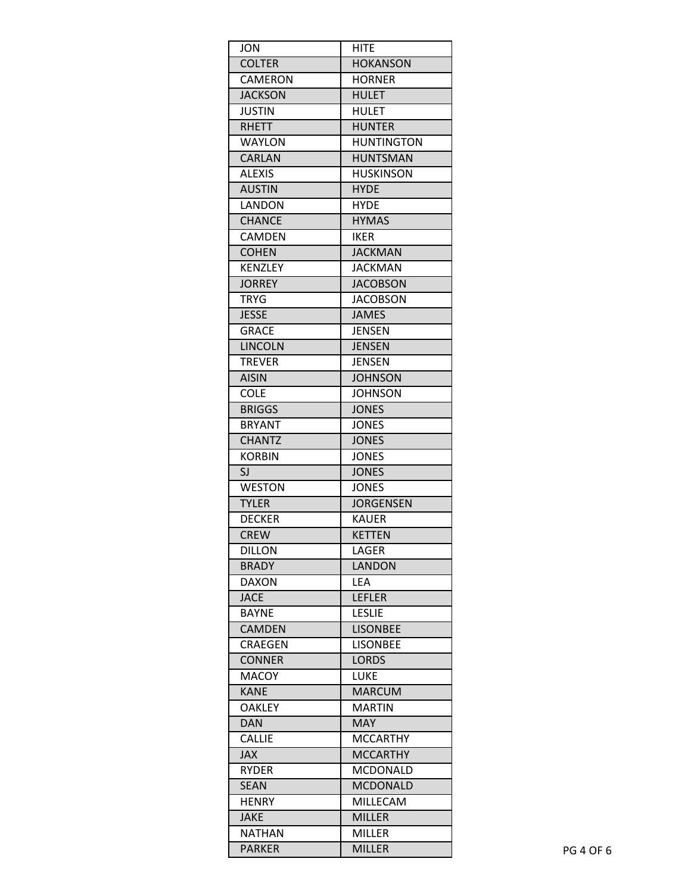| <b>JON</b>     | HITE                           |
|----------------|--------------------------------|
| <b>COLTER</b>  | <b>HOKANSON</b>                |
| <b>CAMERON</b> | <b>HORNER</b>                  |
| <b>JACKSON</b> | <b>HULET</b>                   |
| <b>JUSTIN</b>  | <b>HULET</b>                   |
| <b>RHETT</b>   | <b>HUNTER</b>                  |
| <b>WAYLON</b>  | <b>HUNTINGTON</b>              |
| <b>CARLAN</b>  | <b>HUNTSMAN</b>                |
| <b>ALEXIS</b>  | <b>HUSKINSON</b>               |
| <b>AUSTIN</b>  | <b>HYDE</b>                    |
| LANDON         | <b>HYDE</b>                    |
| <b>CHANCE</b>  | <b>HYMAS</b>                   |
| CAMDEN         | <b>IKER</b>                    |
| <b>COHEN</b>   | <b>JACKMAN</b>                 |
| <b>KENZLEY</b> | <b>JACKMAN</b>                 |
| <b>JORREY</b>  | <b>JACOBSON</b>                |
| TRYG           | <b>JACOBSON</b>                |
| <b>JESSE</b>   | <b>JAMES</b>                   |
| <b>GRACE</b>   | <b>JENSEN</b>                  |
| <b>LINCOLN</b> | <b>JENSEN</b>                  |
| <b>TREVER</b>  | <b>JENSEN</b>                  |
| <b>AISIN</b>   | <b>JOHNSON</b>                 |
| COLE           | <b>JOHNSON</b>                 |
| <b>BRIGGS</b>  | <b>JONES</b>                   |
| <b>BRYANT</b>  | <b>JONES</b>                   |
| <b>CHANTZ</b>  | <b>JONES</b>                   |
| <b>KORBIN</b>  | <b>JONES</b>                   |
| SJ             | <b>JONES</b>                   |
| <b>WESTON</b>  | <b>JONES</b>                   |
| <b>TYLER</b>   | <b>JORGENSEN</b>               |
| <b>DECKER</b>  | <b>KAUER</b>                   |
| <b>CREW</b>    | <b>KETTEN</b>                  |
| <b>DILLON</b>  | LAGER                          |
| <b>BRADY</b>   | LANDON                         |
| <b>DAXON</b>   | LEA                            |
| <b>JACE</b>    | <b>LEFLER</b>                  |
| <b>BAYNE</b>   | <b>LESLIE</b>                  |
| <b>CAMDEN</b>  | <b>LISONBEE</b>                |
| CRAEGEN        | <b>LISONBEE</b>                |
| <b>CONNER</b>  | <b>LORDS</b>                   |
| <b>MACOY</b>   | <b>LUKE</b>                    |
| <b>KANE</b>    | <b>MARCUM</b>                  |
| <b>OAKLEY</b>  | <b>MARTIN</b>                  |
| <b>DAN</b>     | <b>MAY</b>                     |
| <b>CALLIE</b>  | <b>MCCARTHY</b>                |
| JAX            | <b>MCCARTHY</b>                |
| <b>RYDER</b>   | <b>MCDONALD</b>                |
| <b>SEAN</b>    | <b>MCDONALD</b>                |
| <b>HENRY</b>   | MILLECAM                       |
| <b>JAKE</b>    | <b>MILLER</b>                  |
|                |                                |
| <b>NATHAN</b>  | <b>MILLER</b><br><b>MILLER</b> |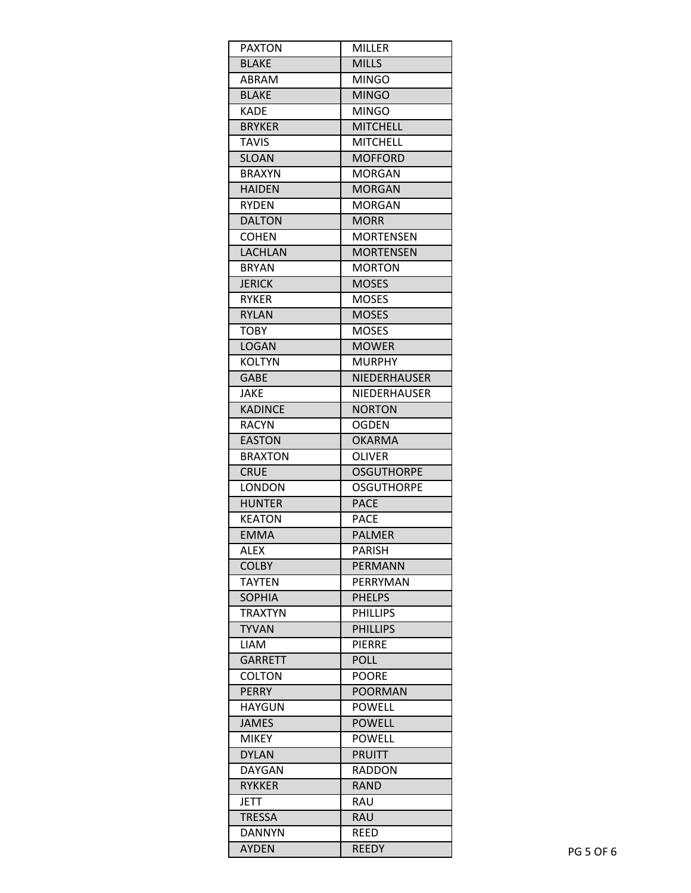| <b>PAXTON</b>  | <b>MILLER</b>       |
|----------------|---------------------|
| <b>BLAKE</b>   | <b>MILLS</b>        |
| ABRAM          | <b>MINGO</b>        |
| <b>BLAKE</b>   | <b>MINGO</b>        |
| <b>KADE</b>    | <b>MINGO</b>        |
| <b>BRYKER</b>  | <b>MITCHELL</b>     |
| <b>TAVIS</b>   | <b>MITCHELL</b>     |
| <b>SLOAN</b>   | <b>MOFFORD</b>      |
| <b>BRAXYN</b>  | <b>MORGAN</b>       |
| <b>HAIDEN</b>  | <b>MORGAN</b>       |
| <b>RYDEN</b>   | <b>MORGAN</b>       |
| <b>DALTON</b>  | <b>MORR</b>         |
| <b>COHEN</b>   | <b>MORTENSEN</b>    |
| <b>LACHLAN</b> | <b>MORTENSEN</b>    |
| <b>BRYAN</b>   | <b>MORTON</b>       |
| <b>JERICK</b>  | <b>MOSES</b>        |
| <b>RYKER</b>   | <b>MOSES</b>        |
| <b>RYLAN</b>   | <b>MOSES</b>        |
| <b>TOBY</b>    | <b>MOSES</b>        |
| <b>LOGAN</b>   | <b>MOWER</b>        |
| <b>KOLTYN</b>  | <b>MURPHY</b>       |
| <b>GABE</b>    | <b>NIEDERHAUSER</b> |
| <b>JAKE</b>    | <b>NIEDERHAUSER</b> |
| <b>KADINCE</b> | <b>NORTON</b>       |
| <b>RACYN</b>   | <b>OGDEN</b>        |
| <b>EASTON</b>  | <b>OKARMA</b>       |
| <b>BRAXTON</b> | <b>OLIVER</b>       |
| <b>CRUE</b>    | <b>OSGUTHORPE</b>   |
| LONDON         | OSGUTHORPE          |
| <b>HUNTER</b>  | <b>PACE</b>         |
| <b>KEATON</b>  | <b>PACE</b>         |
| <b>EMMA</b>    | <b>PALMER</b>       |
| <b>ALEX</b>    | PARISH              |
| <b>COLBY</b>   | <b>PERMANN</b>      |
| TAYTEN         | PERRYMAN            |
| <b>SOPHIA</b>  | <b>PHELPS</b>       |
| TRAXTYN        | <b>PHILLIPS</b>     |
| <b>TYVAN</b>   | <b>PHILLIPS</b>     |
| <b>LIAM</b>    | <b>PIERRE</b>       |
| <b>GARRETT</b> | <b>POLL</b>         |
| <b>COLTON</b>  | <b>POORE</b>        |
| <b>PERRY</b>   | <b>POORMAN</b>      |
| <b>HAYGUN</b>  | <b>POWELL</b>       |
| <b>JAMES</b>   | <b>POWELL</b>       |
| <b>MIKEY</b>   | <b>POWELL</b>       |
| <b>DYLAN</b>   | <b>PRUITT</b>       |
| <b>DAYGAN</b>  | <b>RADDON</b>       |
| <b>RYKKER</b>  | <b>RAND</b>         |
| <b>JETT</b>    | <b>RAU</b>          |
| <b>TRESSA</b>  | <b>RAU</b>          |
| DANNYN         | REED                |
| <b>AYDEN</b>   | <b>REEDY</b>        |